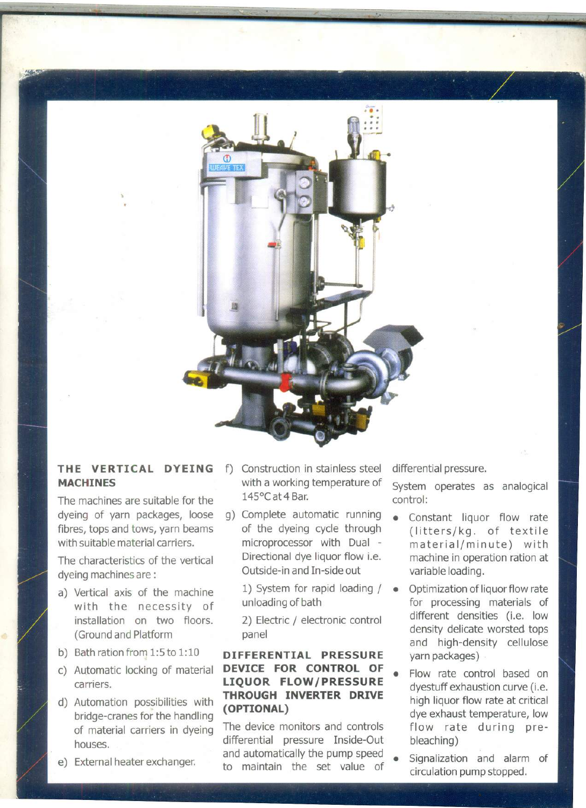

','

## **THE VERTICAL DYEING MACHINES**

The machines are suitable for the dyeing of yarn packages, loose fibres, tops and tows, yarn beams with suitable material carriers.

The characteristics of the vertical dyeing machines are:

- a) Vertical axis of the machine with the necessity of installation on two floors. (Ground and Platform
- b) Bath ration from 1:5 to 1:10
- c) Automatic locking of material carriers.
- d) Automation possibilities with bridge-cranes for the handling of material carriers in dyeing houses.
- e) External heater exchanger.
- f) Construction in stainless steel differential pressure. with a working temperature of System operates as analogical 145°C at 4 Bar. control:
- g) Complete automatic running of the dyeing cycle through microprocessor with Dual - Directional dye liquor flow i.e. Outside-in and In-side out

1) System for rapid loading /  $\bullet$ unloading of bath

2) Electric / electronic control panel

## **DIFFERENTIAL PRESSURE DEVICE FOR CONTROL OF LIQUOR FLOW/PRESSURE THROUGH INVERTER DRIVE (OPTIONAL)**

The device monitors and controls differential pressure Inside-Out and automatically the pump speed • to maintain the set value of

- Constant liquor flow rate (litters/kg. of textile material/minute) with machine in operation ration at variable loading.
- Optimization of liquor flow rate for processing materials of different densities (i.e. low density delicate worsted tops and high-density cellulose yarn packages)
- Flow rate control based on dyestuff exhaustion curve (i.e. high liquor flow rate at critical dye exhaust temperature, low flow rate during prebleaching)
- Signalization and alarm of circulation pump stopped.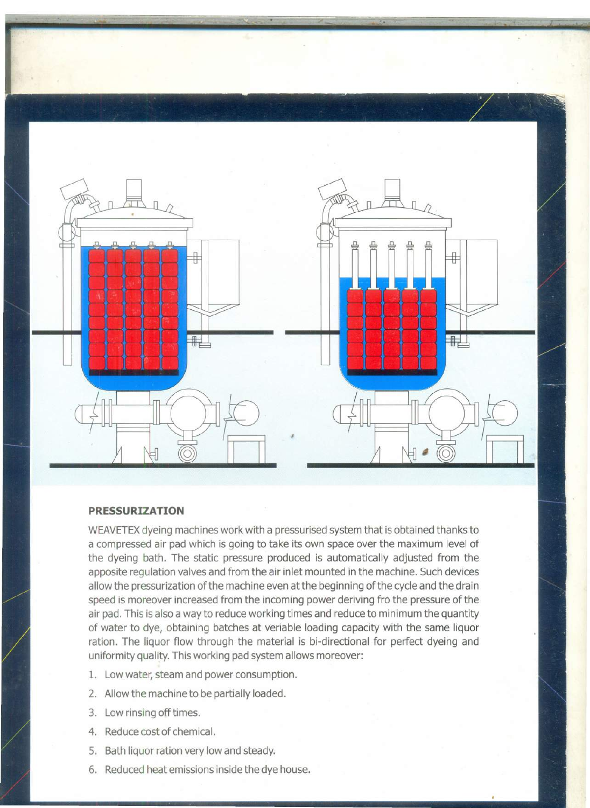

## **PRESSURIZATION**

WEAVETEX dyeing machines work with a pressurised system that is obtained thanks to a compressed air pad which is going to take its own space over the maximum level of the dyeing bath. The static pressure produced is automatically adjusted from the apposite regulation valves and from the air inlet mounted in the machine. Such devices allow the pressurization of the machine even at the beginning of the cycle and the drain speed is moreover increased from the incoming power deriving fro the pressure of the air pad. This is also a way to reduce working times and reduce to minimum the quantity of water to dye, obtaining batches at veriable loading capacity with the same liquor ration. The liquor flow through the material is bi-directional for perfect dyeing and uniformity quality. This working pad system allows moreover:

- 1. Low water, steam and power consumption.
- 2. Allow the machine to be partially loaded.
- 3. Low rinsing off times.
- 4. Reduce cost of chemical.
- 5. Bath liquor ration very low and steady.
- 6. Reduced heat emissions inside the dye house.